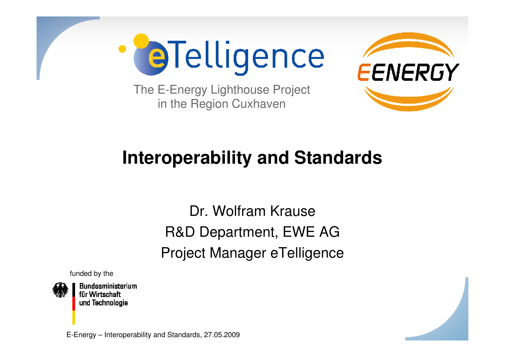**PaTelligence** 



The E-Energy Lighthouse Projectin the Region Cuxhaven

# **Interoperability and Standards**

Dr. Wolfram KrauseR&D Department, EWE AGProject Manager eTelligence

funded by the



**Bundesministerium** für Wirtschaft und Technologie

E-Energy – Interoperability and Standards, 27.05.2009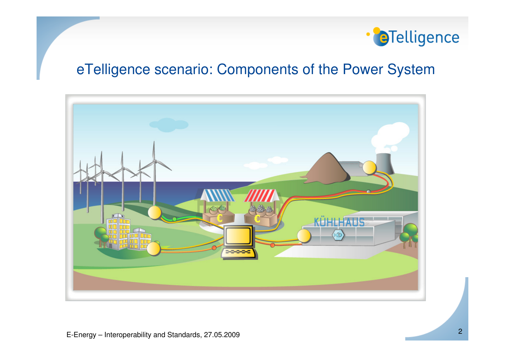

### eTelligence scenario: Components of the Power System

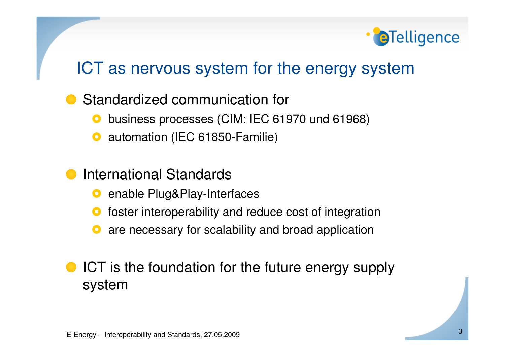

## ICT as nervous system for the energy system

Standardized communication for

- $\bullet$ business processes (CIM: IEC 61970 und 61968)
- $\mathbf O$ automation (IEC 61850-Familie)
- International Standards
	- $\bullet$ enable Plug&Play-Interfaces
	- $\mathbf O$ foster interoperability and reduce cost of integration
	- $\mathbf O$ are necessary for scalability and broad application
- **ICT** is the foundation for the future energy supply system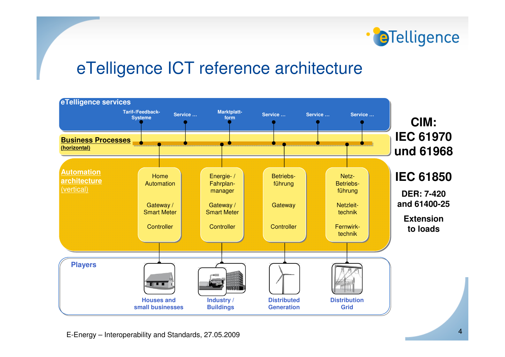

### eTelligence ICT reference architecture

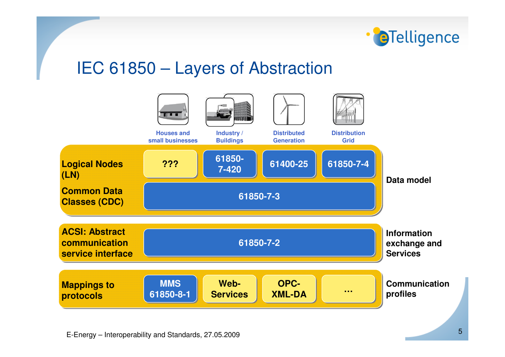

### IEC 61850 – Layers of Abstraction

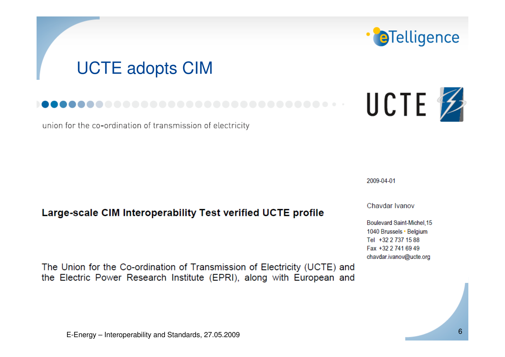# **UCTE adopts CIM**

#### ..............

union for the co-ordination of transmission of electricity

#### Large-scale CIM Interoperability Test verified UCTE profile

The Union for the Co-ordination of Transmission of Electricity (UCTE) and the Electric Power Research Institute (EPRI), along with European and

#### 2009-04-01

Chaydar Ivanov

Boulevard Saint-Michel.15 1040 Brussels · Belgium Tel +32 2 737 15 88 Fax +32 2 741 69 49 chavdar.ivanov@ucte.org



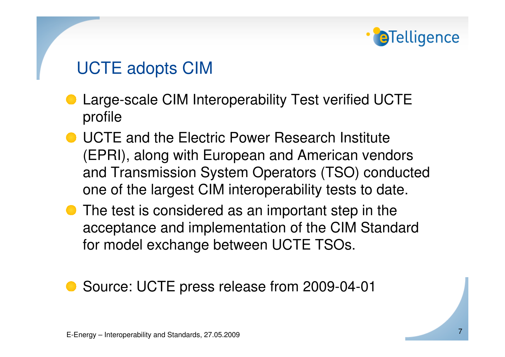# **a**Telligence

# UCTE adopts CIM

- Large-scale CIM Interoperability Test verified UCTEprofile
- **UCTE and the Electric Power Research Institute** (EPRI), along with European and American vendors and Transmission System Operators (TSO) conducted one of the largest CIM interoperability tests to date.
- The test is considered as an important step in the acceptance and implementation of the CIM Standard for model exchange between UCTE TSOs.

### ● Source: UCTE press release from 2009-04-01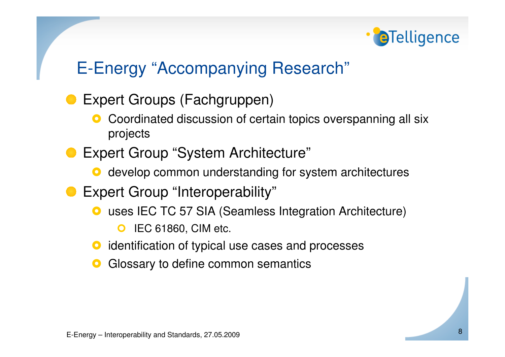

# E-Energy "Accompanying Research"

- Expert Groups (Fachgruppen)
	- $\mathbf O$  Coordinated discussion of certain topics overspanning all six projects
- Expert Group "System Architecture"
	- **O** develop common understanding for system architectures
- **Expert Group "Interoperability"** 
	- **O** uses IEC TC 57 SIA (Seamless Integration Architecture)
		- $\bullet$ IEC 61860, CIM etc.
	- $\mathbf O$ identification of typical use cases and processes
	- $\bullet$ Glossary to define common semantics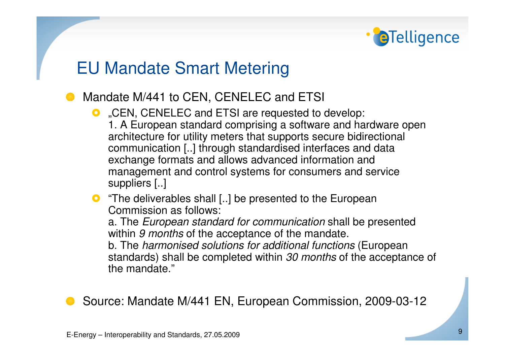# **a**Telligence

## EU Mandate Smart Metering

- Mandate M/441 to CEN, CENELEC and ETSI
	- C. "CEN, CENELEC and ETSI are requested to develop:<br>1. A European standard comprising a software and ha 1. A European standard comprising a software and hardware open architecture for utility meters that supports secure bidirectional communication [..] through standardised interfaces and data exchange formats and allows advanced information and management and control systems for consumers and service suppliers [..]
	- **O** "The deliverables shall [..] be presented to the European<br>Commission as follows: Commission as follows:

a. The *European standard for communication* shall be presented within 9 months of the acceptance of the mandate.

b. The *harmonised solutions for additional functions* (European standards) shall be completed within 30 months of the acceptance of the mandate."

Source: Mandate M/441 EN, European Commission, 2009-03-12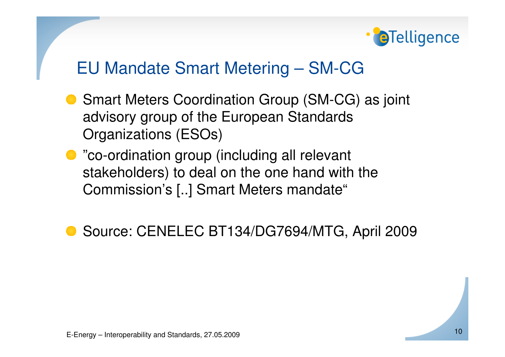

### EU Mandate Smart Metering – SM-CG

- Smart Meters Coordination Group (SM-CG) as joint advisory group of the European Standards Organizations (ESOs)
- "co-ordination group (including all relevant stakeholders) to deal on the one hand with theCommission's [..] Smart Meters mandate"

● Source: CENELEC BT134/DG7694/MTG, April 2009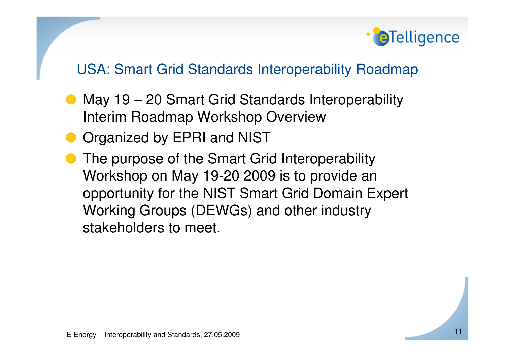

### USA: Smart Grid Standards Interoperability Roadmap

- May 19 20 Smart Grid Standards Interoperability Interim Roadmap Workshop Overview
- **O** Organized by EPRI and NIST
- The purpose of the Smart Grid Interoperability Workshop on May 19-20 2009 is to provide an opportunity for the NIST Smart Grid Domain Expert Working Groups (DEWGs) and other industry stakeholders to meet.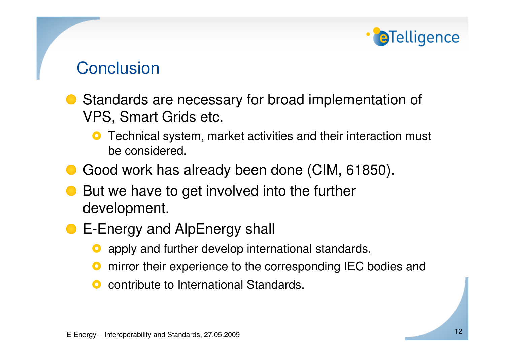# **a**Telligence

# **Conclusion**

- Standards are necessary for broad implementation ofVPS, Smart Grids etc.
	- $\bullet$  Technical system, market activities and their interaction must be considered.
- Good work has already been done (CIM, 61850).
- But we have to get involved into the further development.
- E-Energy and AlpEnergy shall
	- $\mathbf O$ apply and further develop international standards,
	- $\mathbf O$ mirror their experience to the corresponding IEC bodies and
	- $\mathbf O$ contribute to International Standards.